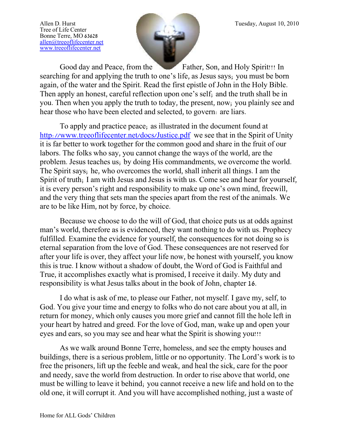Tree of Life Center Bonne Terre, MO 63628 [allen@treeoflifecenter.net](mailto:allen@treeoflifecenter.net) [www.treeoflifecenter.net](http://www.treeoflifecenter.net/)



Good day and Peace, from the Father, Son, and Holy Spirit!!! In searching for and applying the truth to one's life, as Jesus says; you must be born again, of the water and the Spirit. Read the first epistle of John in the Holy Bible. Then apply an honest, careful reflection upon one's self; and the truth shall be in you. Then when you apply the truth to today, the present, now; you plainly see and hear those who have been elected and selected, to govern: are liars.

To apply and practice peace; as illustrated in the document found at <http://www.treeoflifecenter.net/docs/Justice.pdf> we see that in the Spirit of Unity it is far better to work together for the common good and share in the fruit of our labors. The folks who say, you cannot change the ways of the world, are the problem. Jesus teaches us; by doing His commandments, we overcome the world. The Spirit says; he, who overcomes the world, shall inherit all things. I am the Spirit of truth; I am with Jesus and Jesus is with us. Come see and hear for yourself, it is every person's right and responsibility to make up one's own mind, freewill, and the very thing that sets man the species apart from the rest of the animals. We are to be like Him, not by force, by choice.

Because we choose to do the will of God, that choice puts us at odds against man's world, therefore as is evidenced, they want nothing to do with us. Prophecy fulfilled. Examine the evidence for yourself, the consequences for not doing so is eternal separation from the love of God. These consequences are not reserved for after your life is over, they affect your life now, be honest with yourself, you know this is true. I know without a shadow of doubt, the Word of God is Faithful and True, it accomplishes exactly what is promised, I receive it daily. My duty and responsibility is what Jesus talks about in the book of John, chapter 16.

I do what is ask of me, to please our Father, not myself. I gave my, self, to God. You give your time and energy to folks who do not care about you at all, in return for money, which only causes you more grief and cannot fill the hole left in your heart by hatred and greed. For the love of God, man, wake up and open your eyes and ears, so you may see and hear what the Spirit is showing you!!!

As we walk around Bonne Terre, homeless, and see the empty houses and buildings, there is a serious problem, little or no opportunity. The Lord's work is to free the prisoners, lift up the feeble and weak, and heal the sick, care for the poor and needy, save the world from destruction. In order to rise above that world, one must be willing to leave it behind; you cannot receive a new life and hold on to the old one, it will corrupt it. And you will have accomplished nothing, just a waste of